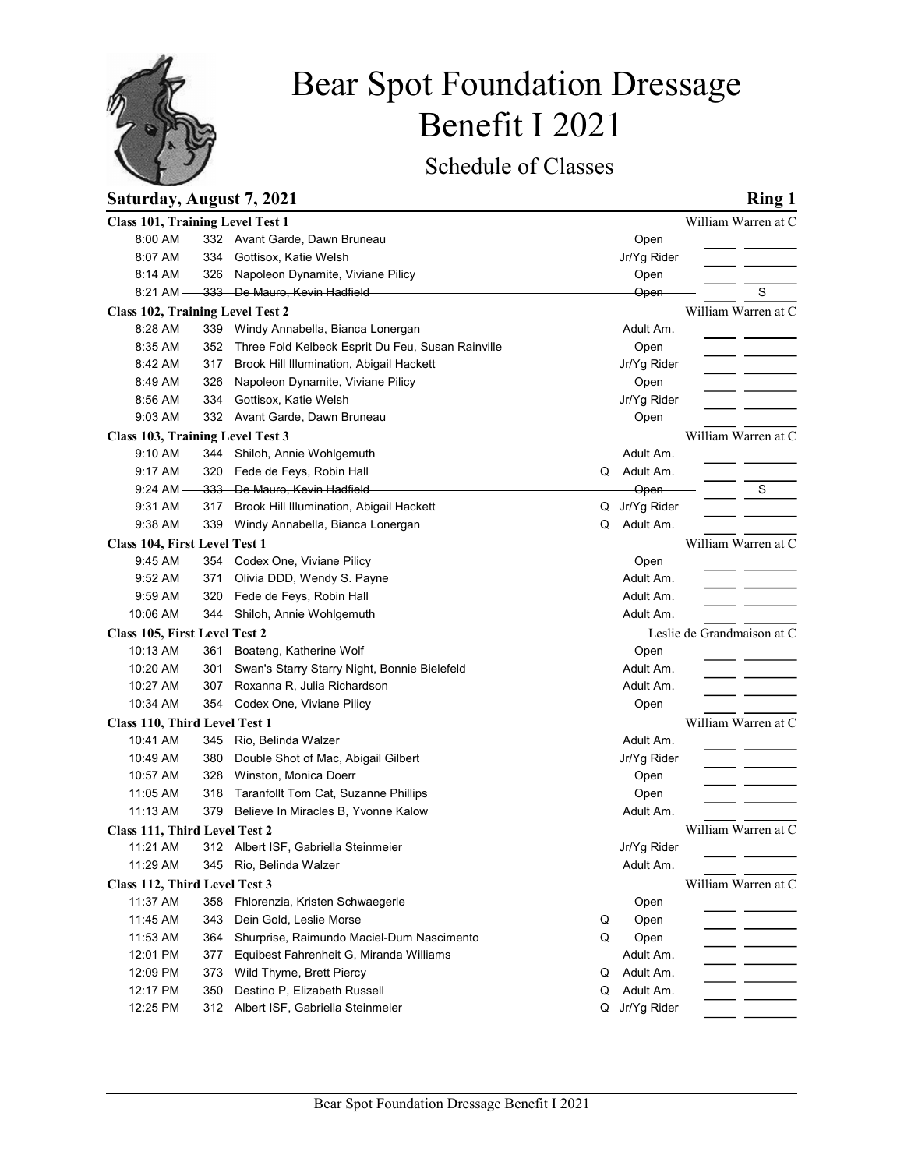

# Bear Spot Foundation Dressage Benefit I 2021

## Saturday, August 7, 2021 Ring 1

|                                           |            |                                                                             | Benefit I 2021 |                        |                            |
|-------------------------------------------|------------|-----------------------------------------------------------------------------|----------------|------------------------|----------------------------|
|                                           |            | Schedule of Classes                                                         |                |                        |                            |
| Saturday, August 7, 2021                  |            |                                                                             |                |                        | <b>Ring 1</b>              |
| <b>Class 101, Training Level Test 1</b>   |            |                                                                             |                |                        | William Warren at C        |
| 8:00 AM                                   |            | 332 Avant Garde, Dawn Bruneau                                               |                | Open                   |                            |
| 8:07 AM<br>8:14 AM                        | 326        | 334 Gottisox, Katie Welsh<br>Napoleon Dynamite, Viviane Pilicy              |                | Jr/Yg Rider<br>Open    |                            |
| $8:21$ AM-                                |            | 333 De Mauro, Kevin Hadfield                                                |                | Open                   | S                          |
| Class 102, Training Level Test 2          |            |                                                                             |                |                        | William Warren at C        |
| 8:28 AM                                   |            | 339 Windy Annabella, Bianca Lonergan                                        |                | Adult Am.              |                            |
| 8:35 AM                                   |            | 352 Three Fold Kelbeck Esprit Du Feu, Susan Rainville                       |                | Open                   |                            |
| 8:42 AM                                   | 317        | Brook Hill Illumination, Abigail Hackett                                    |                | Jr/Yg Rider            |                            |
| 8:49 AM<br>8:56 AM                        | 326        | Napoleon Dynamite, Viviane Pilicy<br>Gottisox, Katie Welsh                  |                | Open                   |                            |
| 9:03 AM                                   | 334        | 332 Avant Garde, Dawn Bruneau                                               |                | Jr/Yg Rider<br>Open    |                            |
| Class 103, Training Level Test 3          |            |                                                                             |                |                        | William Warren at C        |
| 9:10 AM                                   |            | 344 Shiloh, Annie Wohlgemuth                                                |                | Adult Am.              |                            |
| 9:17 AM                                   |            | 320 Fede de Feys, Robin Hall                                                | Q              | Adult Am.              |                            |
| 9:24 AM                                   |            | 333 De Mauro, Kevin Hadfield                                                |                | Open                   | S                          |
| 9:31 AM                                   |            | 317 Brook Hill Illumination, Abigail Hackett                                |                | Q Jr/Yg Rider          |                            |
| 9:38 AM<br>Class 104, First Level Test 1  |            | 339 Windy Annabella, Bianca Lonergan                                        | Q              | Adult Am.              | William Warren at C        |
| 9:45 AM                                   |            | 354 Codex One, Viviane Pilicy                                               |                | Open                   |                            |
| 9:52 AM                                   | 371        | Olivia DDD, Wendy S. Payne                                                  |                | Adult Am.              |                            |
| 9:59 AM                                   |            | 320 Fede de Feys, Robin Hall                                                |                | Adult Am.              |                            |
| 10:06 AM                                  |            | 344 Shiloh, Annie Wohlgemuth                                                |                | Adult Am.              |                            |
| Class 105, First Level Test 2             |            |                                                                             |                |                        | Leslie de Grandmaison at C |
| 10:13 AM                                  |            | 361 Boateng, Katherine Wolf                                                 |                | Open                   |                            |
| 10:20 AM<br>10:27 AM                      | 301<br>307 | Swan's Starry Starry Night, Bonnie Bielefeld<br>Roxanna R, Julia Richardson |                | Adult Am.<br>Adult Am. |                            |
| 10:34 AM                                  |            | 354 Codex One, Viviane Pilicy                                               |                | Open                   |                            |
| Class 110, Third Level Test 1             |            |                                                                             |                |                        | William Warren at C        |
| 10:41 AM                                  |            | 345 Rio, Belinda Walzer                                                     |                | Adult Am.              |                            |
| 10:49 AM                                  | 380        | Double Shot of Mac, Abigail Gilbert                                         |                | Jr/Yg Rider            |                            |
| 10:57 AM                                  | 328        | Winston, Monica Doerr                                                       |                | Open                   |                            |
| 11:05 AM                                  |            | 318 Taranfollt Tom Cat, Suzanne Phillips                                    |                | Open                   |                            |
| 11:13 AM                                  |            | 379 Believe In Miracles B, Yvonne Kalow                                     |                | Adult Am.              |                            |
| Class 111, Third Level Test 2             |            |                                                                             |                |                        | William Warren at C        |
| 11:21 AM                                  |            | 312 Albert ISF, Gabriella Steinmeier                                        |                | Jr/Yg Rider            |                            |
| 11:29 AM                                  |            | 345 Rio, Belinda Walzer                                                     |                | Adult Am.              | William Warren at C        |
| Class 112, Third Level Test 3<br>11:37 AM |            | 358 Fhlorenzia, Kristen Schwaegerle                                         |                | Open                   |                            |
| 11:45 AM                                  | 343        | Dein Gold, Leslie Morse                                                     | Q              | Open                   |                            |
| 11:53 AM                                  | 364        | Shurprise, Raimundo Maciel-Dum Nascimento                                   | Q              | Open                   |                            |
| 12:01 PM                                  | 377        | Equibest Fahrenheit G, Miranda Williams                                     |                | Adult Am.              |                            |
| 12:09 PM                                  | 373        | Wild Thyme, Brett Piercy                                                    | Q              | Adult Am.              |                            |
| 12:17 PM                                  | 350        | Destino P, Elizabeth Russell                                                | Q              | Adult Am.              |                            |
| 12:25 PM                                  |            | 312 Albert ISF, Gabriella Steinmeier                                        | Q              | Jr/Yg Rider            |                            |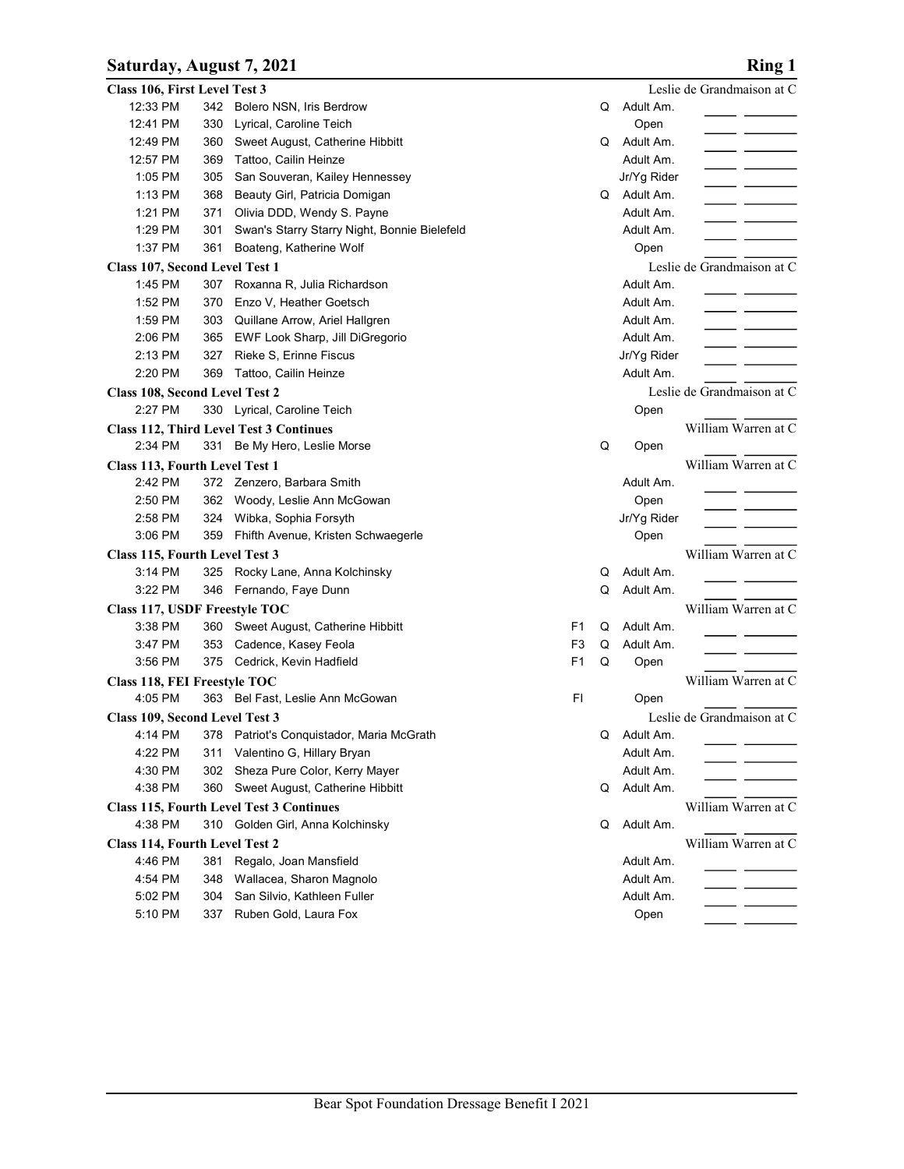### Saturday, August 7, 2021 Ring 1

| Leslie de Grandmaison at C<br>Class 106, First Level Test 3<br>12:33 PM<br>342 Bolero NSN, Iris Berdrow<br>Adult Am.<br>Q<br>12:41 PM<br>Lyrical, Caroline Teich<br>Open<br>330<br>12:49 PM<br>Sweet August, Catherine Hibbitt<br>Adult Am.<br>360<br>Q<br>12:57 PM<br>Tattoo, Cailin Heinze<br>Adult Am.<br>369<br>1:05 PM<br>San Souveran, Kailey Hennessey<br>Jr/Yg Rider<br>305<br>1:13 PM<br>Beauty Girl, Patricia Domigan<br>Adult Am.<br>368<br>Q<br>1:21 PM<br>371<br>Olivia DDD, Wendy S. Payne<br>Adult Am.<br>1:29 PM<br>Swan's Starry Starry Night, Bonnie Bielefeld<br>Adult Am.<br>301<br>1:37 PM<br>361<br>Boateng, Katherine Wolf<br>Open<br>Leslie de Grandmaison at C<br>Class 107, Second Level Test 1<br>1:45 PM<br>307<br>Roxanna R, Julia Richardson<br>Adult Am.<br>1:52 PM<br>370<br>Enzo V, Heather Goetsch<br>Adult Am.<br>1:59 PM<br>303<br>Quillane Arrow, Ariel Hallgren<br>Adult Am.<br>2:06 PM<br>EWF Look Sharp, Jill DiGregorio<br>Adult Am.<br>365<br>Rieke S, Erinne Fiscus<br>2:13 PM<br>327<br>Jr/Yg Rider<br>2:20 PM<br>369 Tattoo, Cailin Heinze<br>Adult Am.<br>Leslie de Grandmaison at C<br>Class 108, Second Level Test 2<br>2:27 PM<br>330 Lyrical, Caroline Teich<br>Open<br>William Warren at C<br><b>Class 112, Third Level Test 3 Continues</b><br>2:34 PM<br>331 Be My Hero, Leslie Morse<br>Q<br>Open<br>Class 113, Fourth Level Test 1<br>William Warren at C<br>2:42 PM<br>372 Zenzero, Barbara Smith<br>Adult Am.<br>2:50 PM<br>362 Woody, Leslie Ann McGowan<br>Open<br>- - -<br>2:58 PM<br>324 Wibka, Sophia Forsyth<br>Jr/Yg Rider<br>3:06 PM<br>359 Fhifth Avenue, Kristen Schwaegerle<br>Open<br>William Warren at C<br>Class 115, Fourth Level Test 3<br>Adult Am.<br>3:14 PM<br>325 Rocky Lane, Anna Kolchinsky<br>Q<br>3:22 PM<br>346 Fernando, Faye Dunn<br>Q<br>Adult Am.<br>Class 117, USDF Freestyle TOC<br>William Warren at C<br>3:38 PM<br>360 Sweet August, Catherine Hibbitt<br>Q<br>Adult Am.<br>F1<br>3:47 PM<br>353 Cadence, Kasey Feola<br>F <sub>3</sub><br>Q<br>Adult Am.<br>3:56 PM<br>375 Cedrick, Kevin Hadfield<br>F1<br>Q<br>Open<br>William Warren at C<br>Class 118, FEI Freestyle TOC<br>4:05 PM<br>F1<br>363 Bel Fast, Leslie Ann McGowan<br>Open<br>Leslie de Grandmaison at C<br>Class 109, Second Level Test 3<br>4:14 PM<br>378 Patriot's Conquistador, Maria McGrath<br>Adult Am.<br>Q<br>4:22 PM<br>311 Valentino G, Hillary Bryan<br>Adult Am.<br>4:30 PM<br>302 Sheza Pure Color, Kerry Mayer<br>Adult Am.<br>4:38 PM<br>360 Sweet August, Catherine Hibbitt<br>Adult Am.<br>Q<br>William Warren at C<br><b>Class 115, Fourth Level Test 3 Continues</b> | Saturday, August 7, 2021 |  |  |  | <b>Ring 1</b> |
|-------------------------------------------------------------------------------------------------------------------------------------------------------------------------------------------------------------------------------------------------------------------------------------------------------------------------------------------------------------------------------------------------------------------------------------------------------------------------------------------------------------------------------------------------------------------------------------------------------------------------------------------------------------------------------------------------------------------------------------------------------------------------------------------------------------------------------------------------------------------------------------------------------------------------------------------------------------------------------------------------------------------------------------------------------------------------------------------------------------------------------------------------------------------------------------------------------------------------------------------------------------------------------------------------------------------------------------------------------------------------------------------------------------------------------------------------------------------------------------------------------------------------------------------------------------------------------------------------------------------------------------------------------------------------------------------------------------------------------------------------------------------------------------------------------------------------------------------------------------------------------------------------------------------------------------------------------------------------------------------------------------------------------------------------------------------------------------------------------------------------------------------------------------------------------------------------------------------------------------------------------------------------------------------------------------------------------------------------------------------------------------------------------------------------------------------------------------------------------------------------------------------------------------------------------------------------------------------------------------------------------------------------------|--------------------------|--|--|--|---------------|
|                                                                                                                                                                                                                                                                                                                                                                                                                                                                                                                                                                                                                                                                                                                                                                                                                                                                                                                                                                                                                                                                                                                                                                                                                                                                                                                                                                                                                                                                                                                                                                                                                                                                                                                                                                                                                                                                                                                                                                                                                                                                                                                                                                                                                                                                                                                                                                                                                                                                                                                                                                                                                                                       |                          |  |  |  |               |
|                                                                                                                                                                                                                                                                                                                                                                                                                                                                                                                                                                                                                                                                                                                                                                                                                                                                                                                                                                                                                                                                                                                                                                                                                                                                                                                                                                                                                                                                                                                                                                                                                                                                                                                                                                                                                                                                                                                                                                                                                                                                                                                                                                                                                                                                                                                                                                                                                                                                                                                                                                                                                                                       |                          |  |  |  |               |
|                                                                                                                                                                                                                                                                                                                                                                                                                                                                                                                                                                                                                                                                                                                                                                                                                                                                                                                                                                                                                                                                                                                                                                                                                                                                                                                                                                                                                                                                                                                                                                                                                                                                                                                                                                                                                                                                                                                                                                                                                                                                                                                                                                                                                                                                                                                                                                                                                                                                                                                                                                                                                                                       |                          |  |  |  |               |
|                                                                                                                                                                                                                                                                                                                                                                                                                                                                                                                                                                                                                                                                                                                                                                                                                                                                                                                                                                                                                                                                                                                                                                                                                                                                                                                                                                                                                                                                                                                                                                                                                                                                                                                                                                                                                                                                                                                                                                                                                                                                                                                                                                                                                                                                                                                                                                                                                                                                                                                                                                                                                                                       |                          |  |  |  |               |
|                                                                                                                                                                                                                                                                                                                                                                                                                                                                                                                                                                                                                                                                                                                                                                                                                                                                                                                                                                                                                                                                                                                                                                                                                                                                                                                                                                                                                                                                                                                                                                                                                                                                                                                                                                                                                                                                                                                                                                                                                                                                                                                                                                                                                                                                                                                                                                                                                                                                                                                                                                                                                                                       |                          |  |  |  |               |
|                                                                                                                                                                                                                                                                                                                                                                                                                                                                                                                                                                                                                                                                                                                                                                                                                                                                                                                                                                                                                                                                                                                                                                                                                                                                                                                                                                                                                                                                                                                                                                                                                                                                                                                                                                                                                                                                                                                                                                                                                                                                                                                                                                                                                                                                                                                                                                                                                                                                                                                                                                                                                                                       |                          |  |  |  |               |
|                                                                                                                                                                                                                                                                                                                                                                                                                                                                                                                                                                                                                                                                                                                                                                                                                                                                                                                                                                                                                                                                                                                                                                                                                                                                                                                                                                                                                                                                                                                                                                                                                                                                                                                                                                                                                                                                                                                                                                                                                                                                                                                                                                                                                                                                                                                                                                                                                                                                                                                                                                                                                                                       |                          |  |  |  |               |
|                                                                                                                                                                                                                                                                                                                                                                                                                                                                                                                                                                                                                                                                                                                                                                                                                                                                                                                                                                                                                                                                                                                                                                                                                                                                                                                                                                                                                                                                                                                                                                                                                                                                                                                                                                                                                                                                                                                                                                                                                                                                                                                                                                                                                                                                                                                                                                                                                                                                                                                                                                                                                                                       |                          |  |  |  |               |
|                                                                                                                                                                                                                                                                                                                                                                                                                                                                                                                                                                                                                                                                                                                                                                                                                                                                                                                                                                                                                                                                                                                                                                                                                                                                                                                                                                                                                                                                                                                                                                                                                                                                                                                                                                                                                                                                                                                                                                                                                                                                                                                                                                                                                                                                                                                                                                                                                                                                                                                                                                                                                                                       |                          |  |  |  |               |
|                                                                                                                                                                                                                                                                                                                                                                                                                                                                                                                                                                                                                                                                                                                                                                                                                                                                                                                                                                                                                                                                                                                                                                                                                                                                                                                                                                                                                                                                                                                                                                                                                                                                                                                                                                                                                                                                                                                                                                                                                                                                                                                                                                                                                                                                                                                                                                                                                                                                                                                                                                                                                                                       |                          |  |  |  |               |
|                                                                                                                                                                                                                                                                                                                                                                                                                                                                                                                                                                                                                                                                                                                                                                                                                                                                                                                                                                                                                                                                                                                                                                                                                                                                                                                                                                                                                                                                                                                                                                                                                                                                                                                                                                                                                                                                                                                                                                                                                                                                                                                                                                                                                                                                                                                                                                                                                                                                                                                                                                                                                                                       |                          |  |  |  |               |
|                                                                                                                                                                                                                                                                                                                                                                                                                                                                                                                                                                                                                                                                                                                                                                                                                                                                                                                                                                                                                                                                                                                                                                                                                                                                                                                                                                                                                                                                                                                                                                                                                                                                                                                                                                                                                                                                                                                                                                                                                                                                                                                                                                                                                                                                                                                                                                                                                                                                                                                                                                                                                                                       |                          |  |  |  |               |
|                                                                                                                                                                                                                                                                                                                                                                                                                                                                                                                                                                                                                                                                                                                                                                                                                                                                                                                                                                                                                                                                                                                                                                                                                                                                                                                                                                                                                                                                                                                                                                                                                                                                                                                                                                                                                                                                                                                                                                                                                                                                                                                                                                                                                                                                                                                                                                                                                                                                                                                                                                                                                                                       |                          |  |  |  |               |
|                                                                                                                                                                                                                                                                                                                                                                                                                                                                                                                                                                                                                                                                                                                                                                                                                                                                                                                                                                                                                                                                                                                                                                                                                                                                                                                                                                                                                                                                                                                                                                                                                                                                                                                                                                                                                                                                                                                                                                                                                                                                                                                                                                                                                                                                                                                                                                                                                                                                                                                                                                                                                                                       |                          |  |  |  |               |
|                                                                                                                                                                                                                                                                                                                                                                                                                                                                                                                                                                                                                                                                                                                                                                                                                                                                                                                                                                                                                                                                                                                                                                                                                                                                                                                                                                                                                                                                                                                                                                                                                                                                                                                                                                                                                                                                                                                                                                                                                                                                                                                                                                                                                                                                                                                                                                                                                                                                                                                                                                                                                                                       |                          |  |  |  |               |
|                                                                                                                                                                                                                                                                                                                                                                                                                                                                                                                                                                                                                                                                                                                                                                                                                                                                                                                                                                                                                                                                                                                                                                                                                                                                                                                                                                                                                                                                                                                                                                                                                                                                                                                                                                                                                                                                                                                                                                                                                                                                                                                                                                                                                                                                                                                                                                                                                                                                                                                                                                                                                                                       |                          |  |  |  |               |
|                                                                                                                                                                                                                                                                                                                                                                                                                                                                                                                                                                                                                                                                                                                                                                                                                                                                                                                                                                                                                                                                                                                                                                                                                                                                                                                                                                                                                                                                                                                                                                                                                                                                                                                                                                                                                                                                                                                                                                                                                                                                                                                                                                                                                                                                                                                                                                                                                                                                                                                                                                                                                                                       |                          |  |  |  |               |
|                                                                                                                                                                                                                                                                                                                                                                                                                                                                                                                                                                                                                                                                                                                                                                                                                                                                                                                                                                                                                                                                                                                                                                                                                                                                                                                                                                                                                                                                                                                                                                                                                                                                                                                                                                                                                                                                                                                                                                                                                                                                                                                                                                                                                                                                                                                                                                                                                                                                                                                                                                                                                                                       |                          |  |  |  |               |
|                                                                                                                                                                                                                                                                                                                                                                                                                                                                                                                                                                                                                                                                                                                                                                                                                                                                                                                                                                                                                                                                                                                                                                                                                                                                                                                                                                                                                                                                                                                                                                                                                                                                                                                                                                                                                                                                                                                                                                                                                                                                                                                                                                                                                                                                                                                                                                                                                                                                                                                                                                                                                                                       |                          |  |  |  |               |
|                                                                                                                                                                                                                                                                                                                                                                                                                                                                                                                                                                                                                                                                                                                                                                                                                                                                                                                                                                                                                                                                                                                                                                                                                                                                                                                                                                                                                                                                                                                                                                                                                                                                                                                                                                                                                                                                                                                                                                                                                                                                                                                                                                                                                                                                                                                                                                                                                                                                                                                                                                                                                                                       |                          |  |  |  |               |
|                                                                                                                                                                                                                                                                                                                                                                                                                                                                                                                                                                                                                                                                                                                                                                                                                                                                                                                                                                                                                                                                                                                                                                                                                                                                                                                                                                                                                                                                                                                                                                                                                                                                                                                                                                                                                                                                                                                                                                                                                                                                                                                                                                                                                                                                                                                                                                                                                                                                                                                                                                                                                                                       |                          |  |  |  |               |
|                                                                                                                                                                                                                                                                                                                                                                                                                                                                                                                                                                                                                                                                                                                                                                                                                                                                                                                                                                                                                                                                                                                                                                                                                                                                                                                                                                                                                                                                                                                                                                                                                                                                                                                                                                                                                                                                                                                                                                                                                                                                                                                                                                                                                                                                                                                                                                                                                                                                                                                                                                                                                                                       |                          |  |  |  |               |
|                                                                                                                                                                                                                                                                                                                                                                                                                                                                                                                                                                                                                                                                                                                                                                                                                                                                                                                                                                                                                                                                                                                                                                                                                                                                                                                                                                                                                                                                                                                                                                                                                                                                                                                                                                                                                                                                                                                                                                                                                                                                                                                                                                                                                                                                                                                                                                                                                                                                                                                                                                                                                                                       |                          |  |  |  |               |
|                                                                                                                                                                                                                                                                                                                                                                                                                                                                                                                                                                                                                                                                                                                                                                                                                                                                                                                                                                                                                                                                                                                                                                                                                                                                                                                                                                                                                                                                                                                                                                                                                                                                                                                                                                                                                                                                                                                                                                                                                                                                                                                                                                                                                                                                                                                                                                                                                                                                                                                                                                                                                                                       |                          |  |  |  |               |
|                                                                                                                                                                                                                                                                                                                                                                                                                                                                                                                                                                                                                                                                                                                                                                                                                                                                                                                                                                                                                                                                                                                                                                                                                                                                                                                                                                                                                                                                                                                                                                                                                                                                                                                                                                                                                                                                                                                                                                                                                                                                                                                                                                                                                                                                                                                                                                                                                                                                                                                                                                                                                                                       |                          |  |  |  |               |
|                                                                                                                                                                                                                                                                                                                                                                                                                                                                                                                                                                                                                                                                                                                                                                                                                                                                                                                                                                                                                                                                                                                                                                                                                                                                                                                                                                                                                                                                                                                                                                                                                                                                                                                                                                                                                                                                                                                                                                                                                                                                                                                                                                                                                                                                                                                                                                                                                                                                                                                                                                                                                                                       |                          |  |  |  |               |
|                                                                                                                                                                                                                                                                                                                                                                                                                                                                                                                                                                                                                                                                                                                                                                                                                                                                                                                                                                                                                                                                                                                                                                                                                                                                                                                                                                                                                                                                                                                                                                                                                                                                                                                                                                                                                                                                                                                                                                                                                                                                                                                                                                                                                                                                                                                                                                                                                                                                                                                                                                                                                                                       |                          |  |  |  |               |
|                                                                                                                                                                                                                                                                                                                                                                                                                                                                                                                                                                                                                                                                                                                                                                                                                                                                                                                                                                                                                                                                                                                                                                                                                                                                                                                                                                                                                                                                                                                                                                                                                                                                                                                                                                                                                                                                                                                                                                                                                                                                                                                                                                                                                                                                                                                                                                                                                                                                                                                                                                                                                                                       |                          |  |  |  |               |
|                                                                                                                                                                                                                                                                                                                                                                                                                                                                                                                                                                                                                                                                                                                                                                                                                                                                                                                                                                                                                                                                                                                                                                                                                                                                                                                                                                                                                                                                                                                                                                                                                                                                                                                                                                                                                                                                                                                                                                                                                                                                                                                                                                                                                                                                                                                                                                                                                                                                                                                                                                                                                                                       |                          |  |  |  |               |
|                                                                                                                                                                                                                                                                                                                                                                                                                                                                                                                                                                                                                                                                                                                                                                                                                                                                                                                                                                                                                                                                                                                                                                                                                                                                                                                                                                                                                                                                                                                                                                                                                                                                                                                                                                                                                                                                                                                                                                                                                                                                                                                                                                                                                                                                                                                                                                                                                                                                                                                                                                                                                                                       |                          |  |  |  |               |
|                                                                                                                                                                                                                                                                                                                                                                                                                                                                                                                                                                                                                                                                                                                                                                                                                                                                                                                                                                                                                                                                                                                                                                                                                                                                                                                                                                                                                                                                                                                                                                                                                                                                                                                                                                                                                                                                                                                                                                                                                                                                                                                                                                                                                                                                                                                                                                                                                                                                                                                                                                                                                                                       |                          |  |  |  |               |
|                                                                                                                                                                                                                                                                                                                                                                                                                                                                                                                                                                                                                                                                                                                                                                                                                                                                                                                                                                                                                                                                                                                                                                                                                                                                                                                                                                                                                                                                                                                                                                                                                                                                                                                                                                                                                                                                                                                                                                                                                                                                                                                                                                                                                                                                                                                                                                                                                                                                                                                                                                                                                                                       |                          |  |  |  |               |
|                                                                                                                                                                                                                                                                                                                                                                                                                                                                                                                                                                                                                                                                                                                                                                                                                                                                                                                                                                                                                                                                                                                                                                                                                                                                                                                                                                                                                                                                                                                                                                                                                                                                                                                                                                                                                                                                                                                                                                                                                                                                                                                                                                                                                                                                                                                                                                                                                                                                                                                                                                                                                                                       |                          |  |  |  |               |
|                                                                                                                                                                                                                                                                                                                                                                                                                                                                                                                                                                                                                                                                                                                                                                                                                                                                                                                                                                                                                                                                                                                                                                                                                                                                                                                                                                                                                                                                                                                                                                                                                                                                                                                                                                                                                                                                                                                                                                                                                                                                                                                                                                                                                                                                                                                                                                                                                                                                                                                                                                                                                                                       |                          |  |  |  |               |
|                                                                                                                                                                                                                                                                                                                                                                                                                                                                                                                                                                                                                                                                                                                                                                                                                                                                                                                                                                                                                                                                                                                                                                                                                                                                                                                                                                                                                                                                                                                                                                                                                                                                                                                                                                                                                                                                                                                                                                                                                                                                                                                                                                                                                                                                                                                                                                                                                                                                                                                                                                                                                                                       |                          |  |  |  |               |
|                                                                                                                                                                                                                                                                                                                                                                                                                                                                                                                                                                                                                                                                                                                                                                                                                                                                                                                                                                                                                                                                                                                                                                                                                                                                                                                                                                                                                                                                                                                                                                                                                                                                                                                                                                                                                                                                                                                                                                                                                                                                                                                                                                                                                                                                                                                                                                                                                                                                                                                                                                                                                                                       |                          |  |  |  |               |
|                                                                                                                                                                                                                                                                                                                                                                                                                                                                                                                                                                                                                                                                                                                                                                                                                                                                                                                                                                                                                                                                                                                                                                                                                                                                                                                                                                                                                                                                                                                                                                                                                                                                                                                                                                                                                                                                                                                                                                                                                                                                                                                                                                                                                                                                                                                                                                                                                                                                                                                                                                                                                                                       |                          |  |  |  |               |
|                                                                                                                                                                                                                                                                                                                                                                                                                                                                                                                                                                                                                                                                                                                                                                                                                                                                                                                                                                                                                                                                                                                                                                                                                                                                                                                                                                                                                                                                                                                                                                                                                                                                                                                                                                                                                                                                                                                                                                                                                                                                                                                                                                                                                                                                                                                                                                                                                                                                                                                                                                                                                                                       |                          |  |  |  |               |
| 4:38 PM<br>310 Golden Girl, Anna Kolchinsky<br>Q<br>Adult Am.                                                                                                                                                                                                                                                                                                                                                                                                                                                                                                                                                                                                                                                                                                                                                                                                                                                                                                                                                                                                                                                                                                                                                                                                                                                                                                                                                                                                                                                                                                                                                                                                                                                                                                                                                                                                                                                                                                                                                                                                                                                                                                                                                                                                                                                                                                                                                                                                                                                                                                                                                                                         |                          |  |  |  |               |
| William Warren at C<br>Class 114, Fourth Level Test 2                                                                                                                                                                                                                                                                                                                                                                                                                                                                                                                                                                                                                                                                                                                                                                                                                                                                                                                                                                                                                                                                                                                                                                                                                                                                                                                                                                                                                                                                                                                                                                                                                                                                                                                                                                                                                                                                                                                                                                                                                                                                                                                                                                                                                                                                                                                                                                                                                                                                                                                                                                                                 |                          |  |  |  |               |
| 4:46 PM<br>381 Regalo, Joan Mansfield<br>Adult Am.                                                                                                                                                                                                                                                                                                                                                                                                                                                                                                                                                                                                                                                                                                                                                                                                                                                                                                                                                                                                                                                                                                                                                                                                                                                                                                                                                                                                                                                                                                                                                                                                                                                                                                                                                                                                                                                                                                                                                                                                                                                                                                                                                                                                                                                                                                                                                                                                                                                                                                                                                                                                    |                          |  |  |  |               |
| _ ____<br>348 Wallacea, Sharon Magnolo<br>4:54 PM<br>Adult Am.                                                                                                                                                                                                                                                                                                                                                                                                                                                                                                                                                                                                                                                                                                                                                                                                                                                                                                                                                                                                                                                                                                                                                                                                                                                                                                                                                                                                                                                                                                                                                                                                                                                                                                                                                                                                                                                                                                                                                                                                                                                                                                                                                                                                                                                                                                                                                                                                                                                                                                                                                                                        |                          |  |  |  |               |
| $\overline{\phantom{a}}$ and $\overline{\phantom{a}}$<br>San Silvio, Kathleen Fuller<br>5:02 PM<br>304<br>Adult Am.                                                                                                                                                                                                                                                                                                                                                                                                                                                                                                                                                                                                                                                                                                                                                                                                                                                                                                                                                                                                                                                                                                                                                                                                                                                                                                                                                                                                                                                                                                                                                                                                                                                                                                                                                                                                                                                                                                                                                                                                                                                                                                                                                                                                                                                                                                                                                                                                                                                                                                                                   |                          |  |  |  |               |
| $\overline{\phantom{a}}$ $\overline{\phantom{a}}$<br>337 Ruben Gold, Laura Fox<br>5:10 PM<br>Open                                                                                                                                                                                                                                                                                                                                                                                                                                                                                                                                                                                                                                                                                                                                                                                                                                                                                                                                                                                                                                                                                                                                                                                                                                                                                                                                                                                                                                                                                                                                                                                                                                                                                                                                                                                                                                                                                                                                                                                                                                                                                                                                                                                                                                                                                                                                                                                                                                                                                                                                                     |                          |  |  |  |               |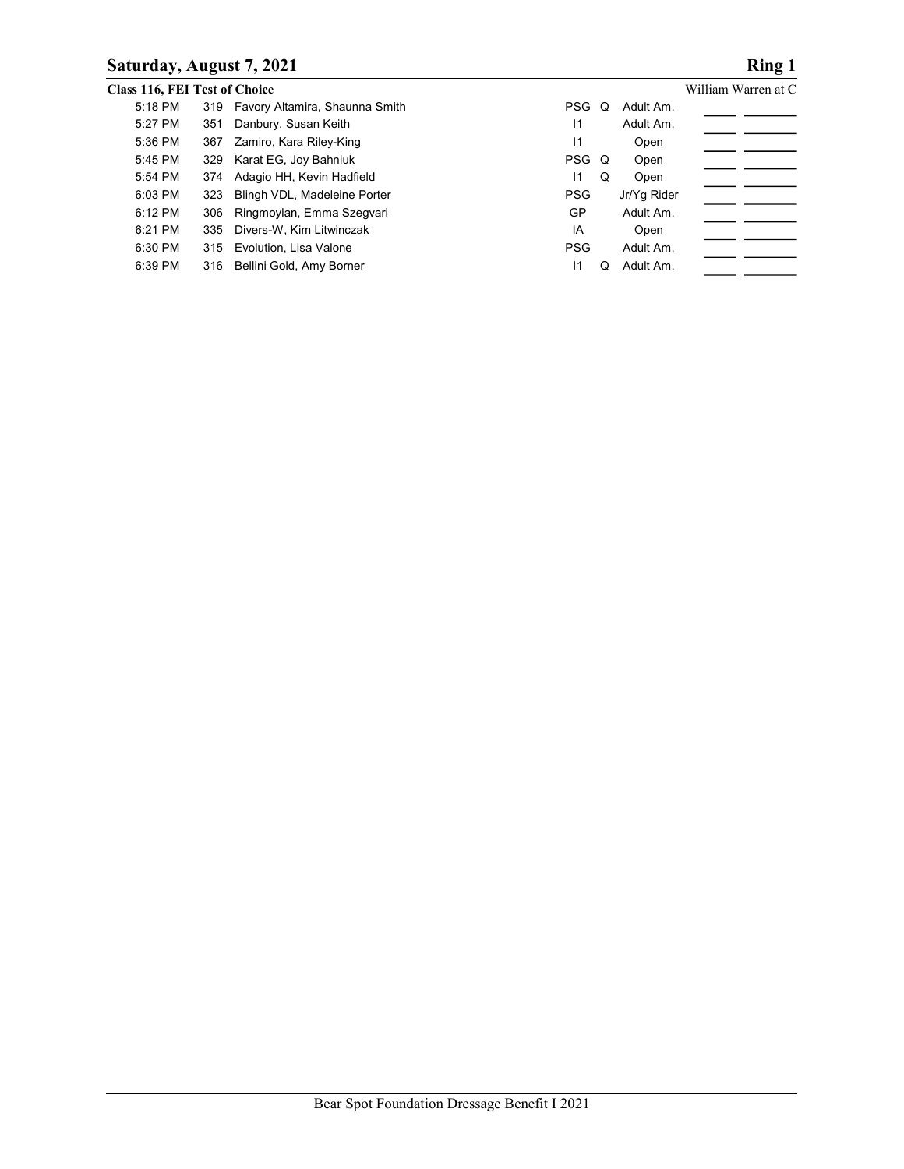## Saturday, August 7, 2021 Ring 1

|         | Saturday, August 7, 2021             |            |             | <b>Ring 1</b>                |
|---------|--------------------------------------|------------|-------------|------------------------------|
|         | <b>Class 116, FEI Test of Choice</b> |            |             | William Warren at C          |
|         |                                      |            |             |                              |
| 5:18 PM | 319 Favory Altamira, Shaunna Smith   | PSG Q      | Adult Am.   |                              |
| 5:27 PM | Danbury, Susan Keith<br>351          | $\vert$ 1  | Adult Am.   |                              |
| 5:36 PM | Zamiro, Kara Riley-King<br>367       | 1          | Open        | <u>and the second second</u> |
| 5:45 PM | Karat EG, Joy Bahniuk<br>329         | PSG Q      | Open        |                              |
| 5:54 PM | Adagio HH, Kevin Hadfield<br>374     | 11         | Q<br>Open   | _ __                         |
| 6:03 PM | Blingh VDL, Madeleine Porter<br>323  | <b>PSG</b> | Jr/Yg Rider |                              |
| 6:12 PM | Ringmoylan, Emma Szegvari<br>306     | GP         | Adult Am.   |                              |
| 6:21 PM | Divers-W, Kim Litwinczak<br>335      | IA         | Open        |                              |
| 6:30 PM | 315<br>Evolution, Lisa Valone        | <b>PSG</b> | Adult Am.   |                              |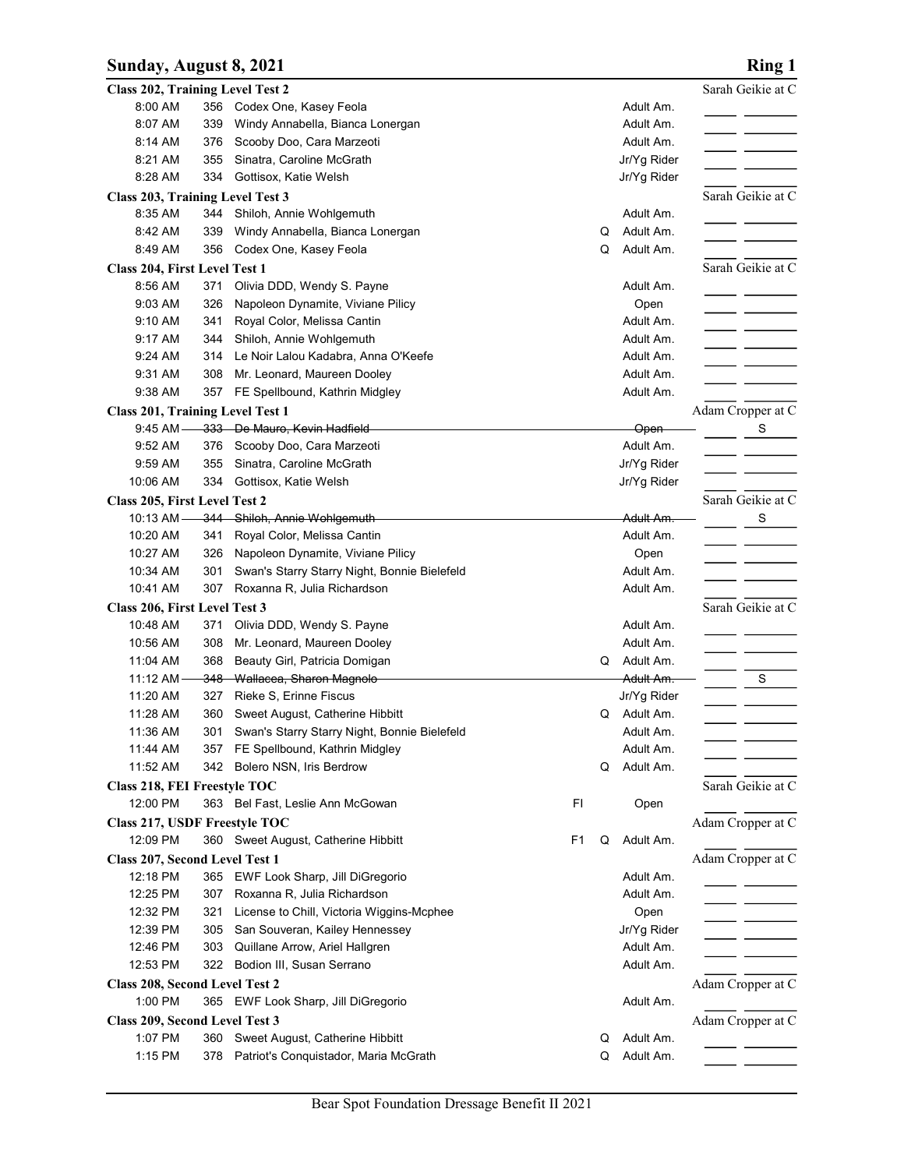## Sunday, August 8, 2021 **Ring 1**

|                                                            |            |                                                                                    |    |   |                          | <b>Ring 1</b>                                         |
|------------------------------------------------------------|------------|------------------------------------------------------------------------------------|----|---|--------------------------|-------------------------------------------------------|
| Sunday, August 8, 2021<br>Class 202, Training Level Test 2 |            |                                                                                    |    |   |                          | Sarah Geikie at C                                     |
| 8:00 AM                                                    |            | 356 Codex One, Kasey Feola                                                         |    |   | Adult Am.                | _ _                                                   |
| 8:07 AM<br>8:14 AM                                         | 339<br>376 | Windy Annabella, Bianca Lonergan<br>Scooby Doo, Cara Marzeoti                      |    |   | Adult Am.<br>Adult Am.   |                                                       |
| 8:21 AM                                                    | 355        | Sinatra, Caroline McGrath                                                          |    |   | Jr/Yg Rider              |                                                       |
| 8:28 AM                                                    | 334        | Gottisox, Katie Welsh                                                              |    |   | Jr/Yg Rider              |                                                       |
| Class 203, Training Level Test 3                           |            |                                                                                    |    |   |                          | Sarah Geikie at C                                     |
| 8:35 AM<br>8:42 AM                                         | 339        | 344 Shiloh, Annie Wohlgemuth<br>Windy Annabella, Bianca Lonergan                   |    | Q | Adult Am.<br>Adult Am.   |                                                       |
| 8:49 AM                                                    | 356        | Codex One, Kasey Feola                                                             |    | Q | Adult Am.                |                                                       |
| Class 204, First Level Test 1                              |            |                                                                                    |    |   |                          | Sarah Geikie at C                                     |
| 8:56 AM                                                    | 371        | Olivia DDD, Wendy S. Payne                                                         |    |   | Adult Am.                |                                                       |
| 9:03 AM<br>9:10 AM                                         | 326<br>341 | Napoleon Dynamite, Viviane Pilicy<br>Royal Color, Melissa Cantin                   |    |   | Open<br>Adult Am.        |                                                       |
| 9:17 AM                                                    | 344        | Shiloh, Annie Wohlgemuth                                                           |    |   | Adult Am.                |                                                       |
| 9:24 AM                                                    | 314        | Le Noir Lalou Kadabra, Anna O'Keefe                                                |    |   | Adult Am.                |                                                       |
| 9:31 AM                                                    |            | 308 Mr. Leonard, Maureen Dooley                                                    |    |   | Adult Am.                |                                                       |
| 9:38 AM<br><b>Class 201, Training Level Test 1</b>         |            | 357 FE Spellbound, Kathrin Midgley                                                 |    |   | Adult Am.                | Adam Cropper at C                                     |
| 9:45 AM                                                    |            | 333 De Mauro, Kevin Hadfield                                                       |    |   | -Open-                   | S.                                                    |
| 9:52 AM                                                    |            | 376 Scooby Doo, Cara Marzeoti                                                      |    |   | Adult Am.                |                                                       |
| 9:59 AM<br>10:06 AM                                        |            | 355 Sinatra, Caroline McGrath                                                      |    |   | Jr/Yg Rider              |                                                       |
| Class 205, First Level Test 2                              |            | 334 Gottisox, Katie Welsh                                                          |    |   | Jr/Yg Rider              | Sarah Geikie at C                                     |
| $10:13$ AM $-$                                             |            | 344 Shiloh, Annie Wohlgemuth                                                       |    |   | Adult Am.                | $ -$ <sup>S</sup>                                     |
| 10:20 AM                                                   |            | 341 Royal Color, Melissa Cantin                                                    |    |   | Adult Am.                | $ -$                                                  |
| 10:27 AM<br>10:34 AM                                       |            | 326 Napoleon Dynamite, Viviane Pilicy                                              |    |   | Open                     |                                                       |
| 10:41 AM                                                   | 301        | Swan's Starry Starry Night, Bonnie Bielefeld<br>307 Roxanna R, Julia Richardson    |    |   | Adult Am.<br>Adult Am.   |                                                       |
| Class 206, First Level Test 3                              |            |                                                                                    |    |   |                          | Sarah Geikie at C                                     |
| 10:48 AM                                                   |            | 371 Olivia DDD, Wendy S. Payne                                                     |    |   | Adult Am.                |                                                       |
| 10:56 AM                                                   | 308        | Mr. Leonard, Maureen Dooley                                                        |    |   | Adult Am.                | $\overline{\phantom{iiiiiiiiiiiiiii}}$                |
| 11:04 AM<br>11:12 AM                                       | 368        | Beauty Girl, Patricia Domigan<br>348 Wallacea, Sharon Magnolo                      |    | Q | Adult Am.<br>Adult Am.   | $\frac{1}{\sqrt{1-\frac{s}{s}}}$                      |
| 11:20 AM                                                   |            | 327 Rieke S, Erinne Fiscus                                                         |    |   | Jr/Yg Rider              | $\overline{\phantom{a}}$ and $\overline{\phantom{a}}$ |
| 11:28 AM                                                   | 360        | Sweet August, Catherine Hibbitt                                                    |    | Q | Adult Am.                |                                                       |
| 11:36 AM<br>11:44 AM                                       | 301        | Swan's Starry Starry Night, Bonnie Bielefeld<br>357 FE Spellbound, Kathrin Midgley |    |   | Adult Am.<br>Adult Am.   |                                                       |
| 11:52 AM                                                   |            | 342 Bolero NSN, Iris Berdrow                                                       |    | Q | Adult Am.                |                                                       |
| Class 218, FEI Freestyle TOC                               |            |                                                                                    |    |   |                          | Sarah Geikie at C                                     |
| 12:00 PM                                                   |            | 363 Bel Fast, Leslie Ann McGowan                                                   | FI |   | Open                     |                                                       |
| Class 217, USDF Freestyle TOC                              |            |                                                                                    |    |   |                          | Adam Cropper at C                                     |
| 12:09 PM<br>Class 207, Second Level Test 1                 |            | 360 Sweet August, Catherine Hibbitt                                                | F1 | Q | Adult Am.                | Adam Cropper at C                                     |
| 12:18 PM                                                   |            | 365 EWF Look Sharp, Jill DiGregorio                                                |    |   | Adult Am.                |                                                       |
| 12:25 PM                                                   |            | 307 Roxanna R, Julia Richardson                                                    |    |   | Adult Am.                |                                                       |
| 12:32 PM                                                   | 321        | License to Chill, Victoria Wiggins-Mcphee                                          |    |   | Open                     | $\overline{\phantom{a}}$ and $\overline{\phantom{a}}$ |
| 12:39 PM                                                   |            | 305 San Souveran, Kailey Hennessey                                                 |    |   | Jr/Yg Rider              |                                                       |
| 12:46 PM<br>12:53 PM                                       | 303        | Quillane Arrow, Ariel Hallgren<br>322 Bodion III, Susan Serrano                    |    |   | Adult Am.<br>Adult Am.   |                                                       |
| Class 208, Second Level Test 2                             |            |                                                                                    |    |   |                          | Adam Cropper at C                                     |
| 1:00 PM                                                    |            | 365 EWF Look Sharp, Jill DiGregorio                                                |    |   | Adult Am.                |                                                       |
| Class 209, Second Level Test 3                             |            |                                                                                    |    |   |                          | Adam Cropper at C                                     |
| 1:07 PM<br>1:15 PM                                         |            | 360 Sweet August, Catherine Hibbitt<br>378 Patriot's Conquistador, Maria McGrath   |    | Q | Adult Am.<br>Q Adult Am. |                                                       |
|                                                            |            |                                                                                    |    |   |                          |                                                       |